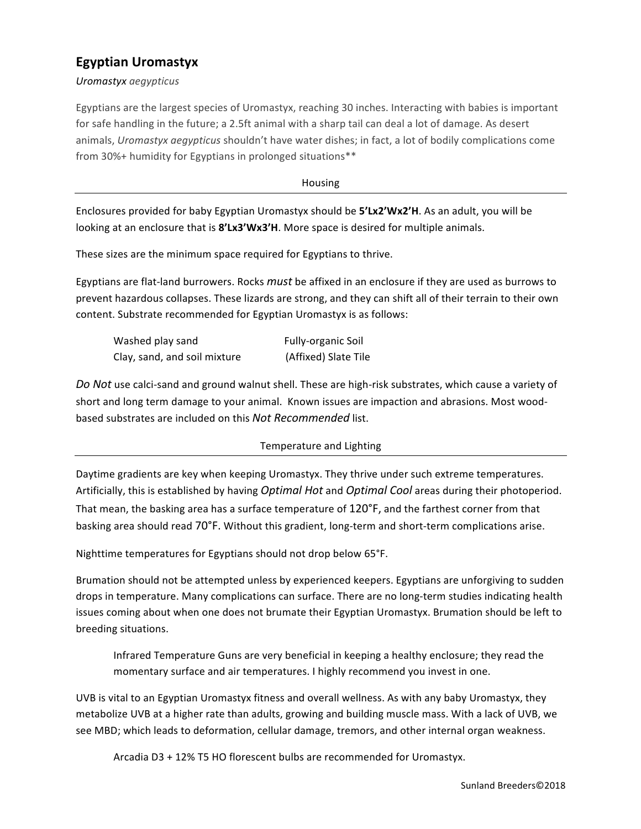## **Egyptian Uromastyx**

*Uromastyx aegypticus* 

Egyptians are the largest species of Uromastyx, reaching 30 inches. Interacting with babies is important for safe handling in the future; a 2.5ft animal with a sharp tail can deal a lot of damage. As desert animals, *Uromastyx aegypticus* shouldn't have water dishes; in fact, a lot of bodily complications come from 30%+ humidity for Egyptians in prolonged situations\*\*

Housing

Enclosures provided for baby Egyptian Uromastyx should be **5'Lx2'Wx2'H**. As an adult, you will be looking at an enclosure that is 8'Lx3'Wx3'H. More space is desired for multiple animals.

These sizes are the minimum space required for Egyptians to thrive.

Egyptians are flat-land burrowers. Rocks *must* be affixed in an enclosure if they are used as burrows to prevent hazardous collapses. These lizards are strong, and they can shift all of their terrain to their own content. Substrate recommended for Egyptian Uromastyx is as follows:

| Washed play sand             | Fully-organic Soil   |
|------------------------------|----------------------|
| Clay, sand, and soil mixture | (Affixed) Slate Tile |

Do Not use calci-sand and ground walnut shell. These are high-risk substrates, which cause a variety of short and long term damage to your animal. Known issues are impaction and abrasions. Most woodbased substrates are included on this *Not Recommended* list.

## Temperature and Lighting

Daytime gradients are key when keeping Uromastyx. They thrive under such extreme temperatures. Artificially, this is established by having *Optimal Hot* and *Optimal Cool* areas during their photoperiod. That mean, the basking area has a surface temperature of 120°F, and the farthest corner from that basking area should read 70°F. Without this gradient, long-term and short-term complications arise.

Nighttime temperatures for Egyptians should not drop below 65°F.

Brumation should not be attempted unless by experienced keepers. Egyptians are unforgiving to sudden drops in temperature. Many complications can surface. There are no long-term studies indicating health issues coming about when one does not brumate their Egyptian Uromastyx. Brumation should be left to breeding situations.

Infrared Temperature Guns are very beneficial in keeping a healthy enclosure; they read the momentary surface and air temperatures. I highly recommend you invest in one.

UVB is vital to an Egyptian Uromastyx fitness and overall wellness. As with any baby Uromastyx, they metabolize UVB at a higher rate than adults, growing and building muscle mass. With a lack of UVB, we see MBD; which leads to deformation, cellular damage, tremors, and other internal organ weakness.

Arcadia D3 + 12% T5 HO florescent bulbs are recommended for Uromastyx.